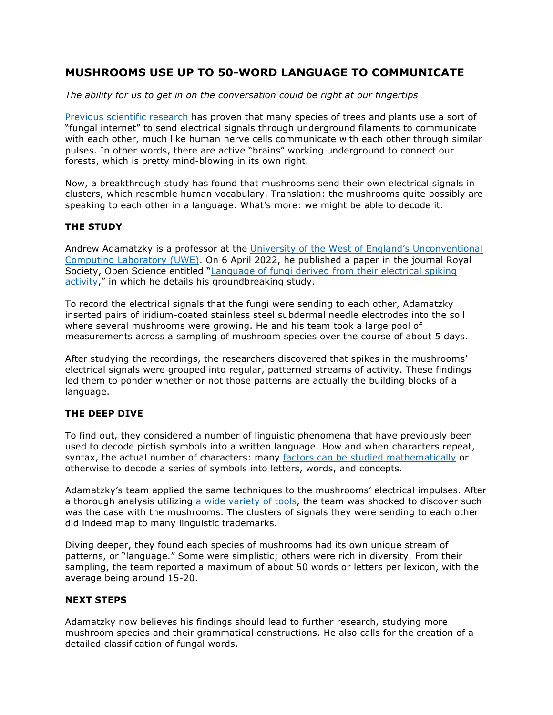## **MUSHROOMS USE UP TO 50-WORD LANGUAGE TO COMMUNICATE**

*The ability for us to get in on the conversation could be right at our fingertips*

Previous scientific research has proven that many species of trees and plants use a sort of "fungal internet" to send electrical signals through underground filaments to communicate with each other, much like human nerve cells communicate with each other through similar pulses. In other words, there are active "brains" working underground to connect our forests, which is pretty mind-blowing in its own right.

Now, a breakthrough study has found that mushrooms send their own electrical signals in clusters, which resemble human vocabulary. Translation: the mushrooms quite possibly are speaking to each other in a language. What's more: we might be able to decode it.

## **THE STUDY**

Andrew Adamatzky is a professor at the University of the West of England's Unconventional Computing Laboratory (UWE). On 6 April 2022, he published a paper in the journal Royal Society, Open Science entitled "Language of fungi derived from their electrical spiking activity," in which he details his groundbreaking study.

To record the electrical signals that the fungi were sending to each other, Adamatzky inserted pairs of iridium-coated stainless steel subdermal needle electrodes into the soil where several mushrooms were growing. He and his team took a large pool of measurements across a sampling of mushroom species over the course of about 5 days.

After studying the recordings, the researchers discovered that spikes in the mushrooms' electrical signals were grouped into regular, patterned streams of activity. These findings led them to ponder whether or not those patterns are actually the building blocks of a language.

## **THE DEEP DIVE**

To find out, they considered a number of linguistic phenomena that have previously been used to decode pictish symbols into a written language. How and when characters repeat, syntax, the actual number of characters: many factors can be studied mathematically or otherwise to decode a series of symbols into letters, words, and concepts.

Adamatzky's team applied the same techniques to the mushrooms' electrical impulses. After a thorough analysis utilizing a wide variety of tools, the team was shocked to discover such was the case with the mushrooms. The clusters of signals they were sending to each other did indeed map to many linguistic trademarks.

Diving deeper, they found each species of mushrooms had its own unique stream of patterns, or "language." Some were simplistic; others were rich in diversity. From their sampling, the team reported a maximum of about 50 words or letters per lexicon, with the average being around 15-20.

## **NEXT STEPS**

Adamatzky now believes his findings should lead to further research, studying more mushroom species and their grammatical constructions. He also calls for the creation of a detailed classification of fungal words.